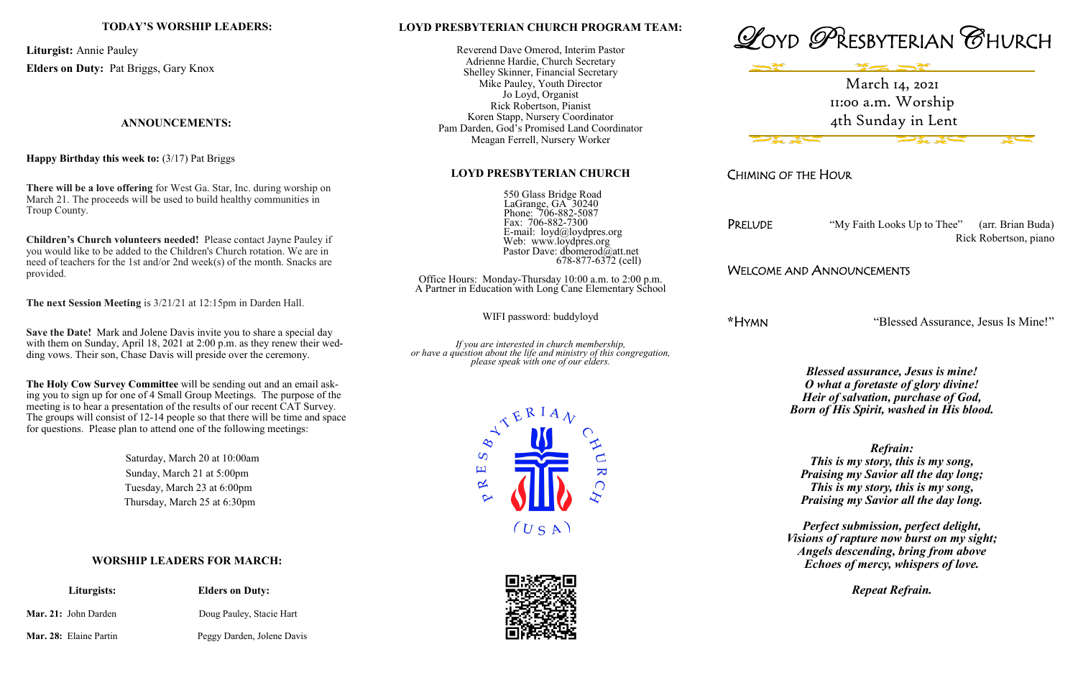### **LOYD PRESBYTERIAN CHURCH PROGRAM TEAM:**

Reverend Dave Omerod, Interim Pastor Adrienne Hardie, Church Secretary Shelley Skinner, Financial Secretary Mike Pauley, Youth Director Jo Loyd, Organist Rick Robertson, Pianist Koren Stapp, Nursery Coordinator Pam Darden, God's Promised Land Coordinator Meagan Ferrell, Nursery Worker

#### **LOYD PRESBYTERIAN CHURCH**

 550 Glass Bridge Road LaGrange, GA 30240 Phone: 706-882-5087 Fax: 706-882-7300 E-mail: loyd@loydpres.org Web: www.loydpres.org Pastor Dave: dbomerod@att.net 678-877-6372 (cell)

PRELUDE "My Faith Looks Up to Thee" (arr. Brian Buda) Rick Robertson, piano

Office Hours: Monday-Thursday 10:00 a.m. to 2:00 p.m. A Partner in Education with Long Cane Elementary School

WIFI password: buddyloyd

*If you are interested in church membership, or have a question about the life and ministry of this congregation, please speak with one of our elders.*









CHIMING OF THE HOUR

## WELCOME AND ANNOUNCEMENTS

**\***HYMN "Blessed Assurance, Jesus Is Mine!"

*Blessed assurance, Jesus is mine! O what a foretaste of glory divine! Heir of salvation, purchase of God, Born of His Spirit, washed in His blood.*

*Refrain: This is my story, this is my song, Praising my Savior all the day long; This is my story, this is my song, Praising my Savior all the day long.*

*Perfect submission, perfect delight, Visions of rapture now burst on my sight; Angels descending, bring from above Echoes of mercy, whispers of love.*

*Repeat Refrain.*

### **TODAY'S WORSHIP LEADERS:**

**Liturgist:** Annie Pauley **Elders on Duty:** Pat Briggs, Gary Knox

### **ANNOUNCEMENTS:**

**Happy Birthday this week to:** (3/17) Pat Briggs

**There will be a love offering** for West Ga. Star, Inc. during worship on March 21. The proceeds will be used to build healthy communities in Troup County.

**Children's Church volunteers needed!** Please contact Jayne Pauley if you would like to be added to the Children's Church rotation. We are in need of teachers for the 1st and/or 2nd week(s) of the month. Snacks are provided.

**The next Session Meeting** is 3/21/21 at 12:15pm in Darden Hall.

**Save the Date!** Mark and Jolene Davis invite you to share a special day with them on Sunday, April 18, 2021 at 2:00 p.m. as they renew their wedding vows. Their son, Chase Davis will preside over the ceremony.

**The Holy Cow Survey Committee** will be sending out and an email asking you to sign up for one of 4 Small Group Meetings. The purpose of the meeting is to hear a presentation of the results of our recent CAT Survey. The groups will consist of 12-14 people so that there will be time and space for questions. Please plan to attend one of the following meetings:

> Saturday, March 20 at 10:00am Sunday, March 21 at 5:00pm Tuesday, March 23 at 6:00pm Thursday, March 25 at 6:30pm

### **WORSHIP LEADERS FOR MARCH:**

|                               | Liturgists: | <b>Elders on Duty:</b>     |
|-------------------------------|-------------|----------------------------|
| <b>Mar. 21:</b> John Darden   |             | Doug Pauley, Stacie Hart   |
| <b>Mar. 28:</b> Elaine Partin |             | Peggy Darden, Jolene Davis |

March 14, 2021 11:00 a.m. Worship 4th Sunday in Lent